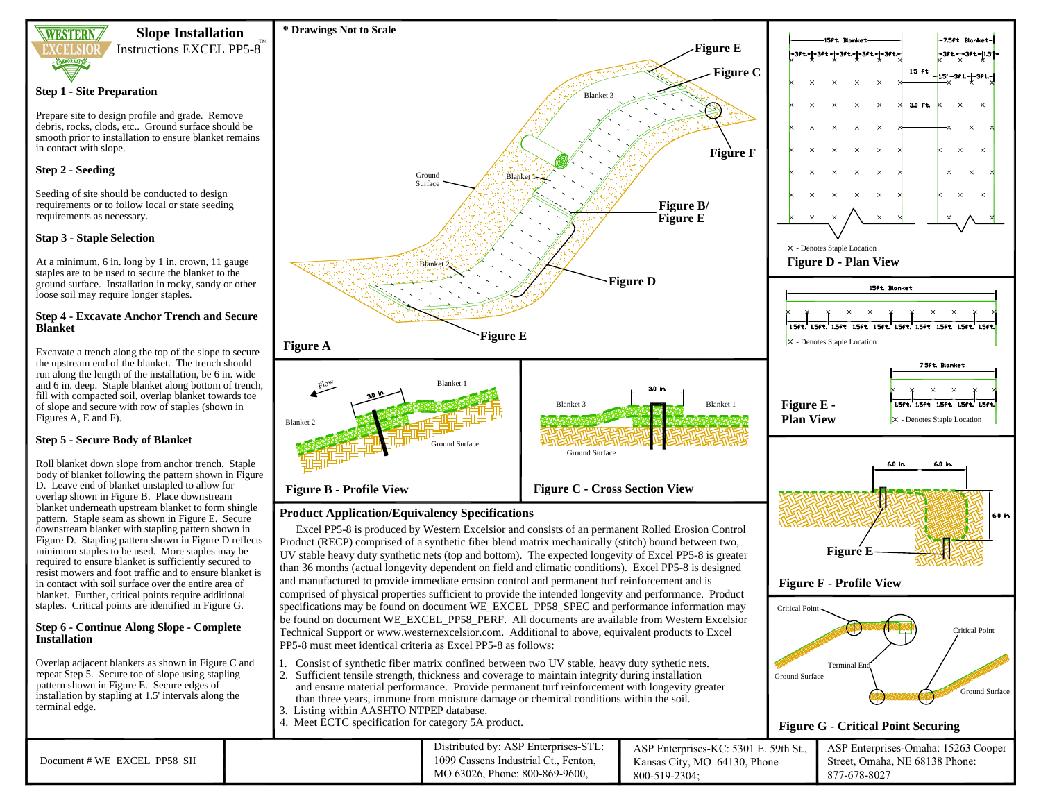

#### **Slope Installation**

TM

Instructions EXCEL PP5-8

#### **Step 1 - Site Preparation**

Prepare site to design profile and grade. Remove debris, rocks, clods, etc.. Ground surface should be smooth prior to installation to ensure blanket remains in contact with slope.

#### **Step 2 - Seeding**

Seeding of site should be conducted to design requirements or to follow local or state seeding requirements as necessary.

#### **Stap 3 - Staple Selection**

At a minimum, 6 in. long by 1 in. crown, 11 gauge staples are to be used to secure the blanket to the ground surface. Installation in rocky, sandy or other loose soil may require longer staples.

#### **Step 4 - Excavate Anchor Trench and Secure Blanket**

Excavate a trench along the top of the slope to secure

### **Step 5 - Secure Body of Blanket**

Roll blanket down slope from anchor trench. Staple body of blanket following the pattern shown in Figure D. Leave end of blanket unstapled to allow for overlap shown in Figure B. Place downstream blanket underneath upstream blanket to form shingle pattern. Staple seam as shown in Figure E. Secure downstream blanket with stapling pattern shown in Figure D. Stapling pattern shown in Figure D reflects minimum staples to be used. More staples may be required to ensure blanket is sufficiently secured to resist mowers and foot traffic and to ensure blanket is in contact with soil surface over the entire area of blanket. Further, critical points require additional staples. Critical points are identified in Figure G.

# **Step 6 - Continue Along Slope - Complete**

Overlap adjacent blankets as shown in Figure C and repeat Step 5. Secure toe of slope using stapling pattern shown in Figure E. Secure edges of installation by stapling at 1.5' intervals along the terminal edge.

the upstream end of the blanket. The trench should run along the length of the installation, be 6 in. wide and 6 in. deep. Staple blanket along bottom of trench, fill with compacted soil, overlap blanket towards toe of slope and secure with row of staples (shown in Figures A, E and F).

Product (RECP) comprised of a synthetic fiber blend matrix mechanically (stitch) bound between two, UV stable heavy duty synthetic nets (top and bottom). The expected longevity of Excel PP5-8 is greater than 36 months (actual longevity dependent on field and climatic conditions). Excel PP5-8 is designed and manufactured to provide immediate erosion control and permanent turf reinforcement and is comprised of physical properties sufficient to provide the intended longevity and performance. Product specifications may be found on document WE\_EXCEL\_PP58\_SPEC and performance information may be found on document WE\_EXCEL\_PP58\_PERF. All documents are available from Western Excelsior

# **Installation**

Document # WE\_EXCEL\_PP58\_SII



4. Meet ECTC specification for category 5A product.

PP5-8 must meet identical criteria as Excel PP5-8 as follows:



Technical Support or www.westernexcelsior.com. Additional to above, equivalent products to Excel

Distributed by: ASP Enterprises-STL: 1099 Cassens Industrial Ct., Fenton, MO 63026, Phone: 800-869-9600,

800-519-2304;

1. Consist of synthetic fiber matrix confined between two UV stable, heavy duty sythetic nets. 2. Sufficient tensile strength, thickness and coverage to maintain integrity during installation and ensure material performance. Provide permanent turf reinforcement with longevity greater than three years, immune from moisture damage or chemical conditions within the soil.

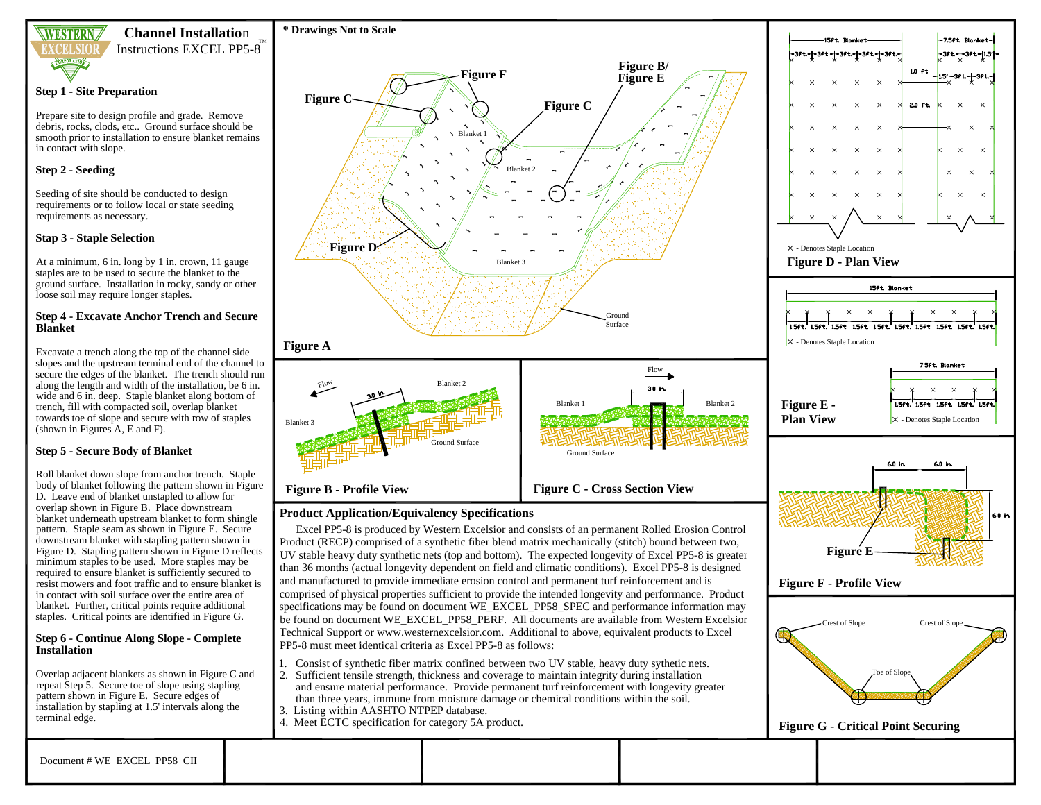

**Channel Installatio**<sup>n</sup> TM

Instructions EXCEL PP5-8

#### **Step 1 - Site Preparation**

Prepare site to design profile and grade. Remove debris, rocks, clods, etc.. Ground surface should be smooth prior to installation to ensure blanket remains in contact with slope.

#### **Step 2 - Seeding**

Seeding of site should be conducted to design requirements or to follow local or state seeding requirements as necessary.

#### **Stap 3 - Staple Selection**

At a minimum, 6 in. long by 1 in. crown, 11 gauge staples are to be used to secure the blanket to the ground surface. Installation in rocky, sandy or other loose soil may require longer staples.

#### **Step 4 - Excavate Anchor Trench and Secure Blanket**

Excavate a trench along the top of the channel side slopes and the upstream terminal end of the channel to secure the edges of the blanket. The trench should run along the length and width of the installation, be 6 in. wide and 6 in. deep. Staple blanket along bottom of trench, fill with compacted soil, overlap blanket towards toe of slope and secure with row of staples (shown in Figures A, E and F).

## **Step 5 - Secure Body of Blanket**

Roll blanket down slope from anchor trench. Staple body of blanket following the pattern shown in Figure D. Leave end of blanket unstapled to allow for overlap shown in Figure B. Place downstream blanket underneath upstream blanket to form shingle pattern. Staple seam as shown in Figure E. Secure downstream blanket with stapling pattern shown in Figure D. Stapling pattern shown in Figure D reflects minimum staples to be used. More staples may be required to ensure blanket is sufficiently secured to resist mowers and foot traffic and to ensure blanket is in contact with soil surface over the entire area of blanket. Further, critical points require additional staples. Critical points are identified in Figure G.

#### **Step 6 - Continue Along Slope - Complete Installation**

Overlap adjacent blankets as shown in Figure C and repeat Step 5. Secure toe of slope using stapling pattern shown in Figure E. Secure edges of installation by stapling at 1.5' intervals along the terminal edge.



## **Product Application/Equivalency Specifications**

Excel PP5-8 is produced by Western Excelsior and consists of an permanent Rolled Erosion Control Product (RECP) comprised of a synthetic fiber blend matrix mechanically (stitch) bound between two, UV stable heavy duty synthetic nets (top and bottom). The expected longevity of Excel PP5-8 is greater than 36 months (actual longevity dependent on field and climatic conditions). Excel PP5-8 is designed and manufactured to provide immediate erosion control and permanent turf reinforcement and is comprised of physical properties sufficient to provide the intended longevity and performance. Product specifications may be found on document WE\_EXCEL\_PP58\_SPEC and performance information may be found on document WE\_EXCEL\_PP58\_PERF. All documents are available from Western Excelsior Technical Support or www.westernexcelsior.com. Additional to above, equivalent products to Excel PP5-8 must meet identical criteria as Excel PP5-8 as follows:

- 1. Consist of synthetic fiber matrix confined between two UV stable, heavy duty sythetic nets.
- 2. Sufficient tensile strength, thickness and coverage to maintain integrity during installation and ensure material performance. Provide permanent turf reinforcement with longevity greater than three years, immune from moisture damage or chemical conditions within the soil.
- 3. Listing within AASHTO NTPEP database.
- 4. Meet ECTC specification for category 5A product.

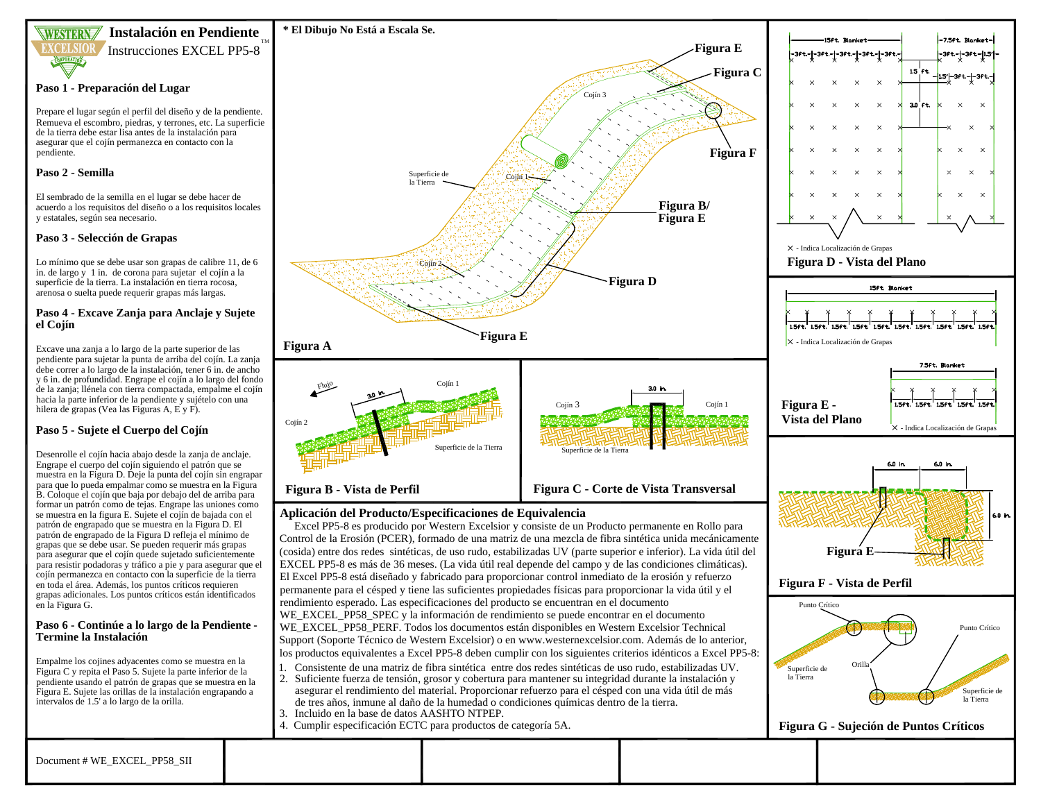

### **Instalación en Pendiente** Instrucciones EXCEL PP5-8

#### **Paso 1 - Preparación del Lugar**

Prepare el lugar según el perfil del diseño y de la pendiente. Remueva el escombro, piedras, y terrones, etc. La superficie de la tierra debe estar lisa antes de la instalación para asegurar que el cojín permanezca en contacto con la pendiente.

#### **Paso 2 - Semilla**

El sembrado de la semilla en el lugar se debe hacer de acuerdo a los requisitos del diseño o a los requisitos locales y estatales, según sea necesario.

#### **Paso 3 - Selección de Grapas**

Lo mínimo que se debe usar son grapas de calibre 11, de 6 in. de largo y 1 in. de corona para sujetar el cojín a la superficie de la tierra. La instalación en tierra rocosa, arenosa o suelta puede requerir grapas más largas.

#### **Paso 4 - Excave Zanja para Anclaje y Sujete el Cojín**

Excave una zanja a lo largo de la parte superior de las pendiente para sujetar la punta de arriba del cojín. La zanja debe correr a lo largo de la instalación, tener 6 in. de ancho y 6 in. de profundidad. Engrape el cojín a lo largo del fondo de la zanja; llénela con tierra compactada, empalme el cojín hacia la parte inferior de la pendiente y sujételo con una hilera de grapas (Vea las Figuras A, E y F).

### **Paso 5 - Sujete el Cuerpo del Cojín**

Desenrolle el cojín hacia abajo desde la zanja de anclaje. Engrape el cuerpo del cojín siguiendo el patrón que se muestra en la Figura D. Deje la punta del cojín sin engrapar para que lo pueda empalmar como se muestra en la Figura B. Coloque el cojín que baja por debajo del de arriba para formar un patrón como de tejas. Engrape las uniones como se muestra en la figura E. Sujete el cojín de bajada con el patrón de engrapado que se muestra en la Figura D. El patrón de engrapado de la Figura D refleja el mínimo de grapas que se debe usar. Se pueden requerir más grapas para asegurar que el cojín quede sujetado suficientemente para resistir podadoras y tráfico a pie y para asegurar que el cojín permanezca en contacto con la superficie de la tierra en toda el área. Además, los puntos críticos requieren grapas adicionales. Los puntos críticos están identificados en la Figura G.

#### **Paso 6 - Continúe a lo largo de la Pendiente - Termine la Instalación**

Empalme los cojines adyacentes como se muestra en la Figura C y repita el Paso 5. Sujete la parte inferior de la pendiente usando el patrón de grapas que se muestra en la Figura E. Sujete las orillas de la instalación engrapando a intervalos de 1.5' a lo largo de la orilla.



### **Aplicación del Producto/Especificaciones de Equivalencia**

Excel PP5-8 es producido por Western Excelsior y consiste de un Producto permanente en Rollo para Control de la Erosión (PCER), formado de una matriz de una mezcla de fibra sintética unida mecánicamente (cosida) entre dos redes sintéticas, de uso rudo, estabilizadas UV (parte superior e inferior). La vida útil del EXCEL PP5-8 es más de 36 meses. (La vida útil real depende del campo y de las condiciones climáticas). El Excel PP5-8 está diseñado y fabricado para proporcionar control inmediato de la erosión y refuerzo permanente para el césped y tiene las suficientes propiedades físicas para proporcionar la vida útil y el rendimiento esperado. Las especificaciones del producto se encuentran en el documento WE\_EXCEL\_PP58\_SPEC y la información de rendimiento se puede encontrar en el documento WE\_EXCEL\_PP58\_PERF. Todos los documentos están disponibles en Western Excelsior Technical Support (Soporte Técnico de Western Excelsior) o en www.westernexcelsior.com. Además de lo anterior, los productos equivalentes a Excel PP5-8 deben cumplir con los siguientes criterios idénticos a Excel PP5-8:

- 1. Consistente de una matriz de fibra sintética entre dos redes sintéticas de uso rudo, estabilizadas UV.
- 2. Suficiente fuerza de tensión, grosor y cobertura para mantener su integridad durante la instalación y asegurar el rendimiento del material. Proporcionar refuerzo para el césped con una vida útil de más de tres años, inmune al daño de la humedad o condiciones químicas dentro de la tierra.
- 3. Incluido en la base de datos AASHTO NTPEP.
- 4. Cumplir especificación ECTC para productos de categoría 5A.